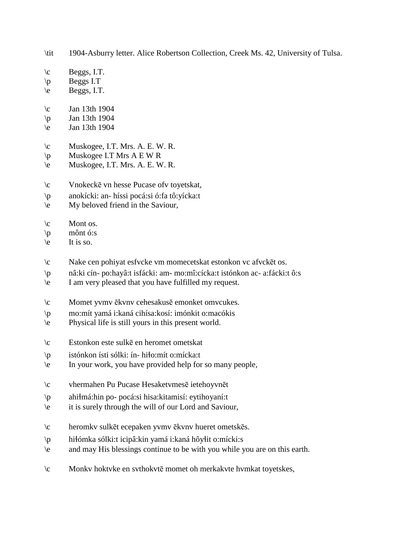\tit 1904-Asburry letter. Alice Robertson Collection, Creek Ms. 42, University of Tulsa.

- $\c$  Beggs, I.T.
- $\vert p \vert$  Beggs I.T
- $\leq$  Beggs, I.T.
- $\c$  Jan 13th 1904
- \p Jan 13th 1904
- \e Jan 13th 1904
- $\c$  Muskogee, I.T. Mrs. A. E. W. R.
- $\pmb{\varphi}$  Muskogee I.T Mrs A E W R
- \e Muskogee, I.T. Mrs. A. E. W. R.
- \c Vnokeckē vn hesse Pucase ofv toyetskat,
- \p anokícki: an- híssi pocá:si ó:fa tô:yícka:t
- \e My beloved friend in the Saviour,
- $\operatorname{C}$  Mont os.
- $\pi$  mônt ó:s
- $\le$  It is so.
- \c Nake cen pohiyat esfvcke vm momecetskat estonkon vc afvckēt os.
- \p nâ:ki cín- po:hayâ:t isfácki: am- mo:mî:cícka:t istónkon ac- a:fácki:t ô:s
- \e I am very pleased that you have fulfilled my request.
- \c Momet yvmv ēkvnv cehesakusē emonket omvcukes.
- \p mo:mít yamá i:kaná cihísa:kosí: imónkit o:macókis
- \e Physical life is still yours in this present world.
- \c Estonkon este sulkē en heromet ometskat
- \p istónkon ísti sólki: ín- hi!o:mít o:mícka:t
- \e In your work, you have provided help for so many people,
- \c vhermahen Pu Pucase Hesaketvmesē ietehoyvnēt
- $\mathbf{p}$  ahi má:hin po- pocá:si hisa:kitamisí: eytihoyaní:t
- \e it is surely through the will of our Lord and Saviour,
- \c heromkv sulkēt ecepaken yvmv ēkvnv hueret ometskēs.
- \p hi!ómka sólki:t icipâ:kin yamá i:kaná hôy!it o:mícki:s
- \e and may His blessings continue to be with you while you are on this earth.
- \c Monkv hoktvke en svthokvtē momet oh merkakvte hvmkat toyetskes,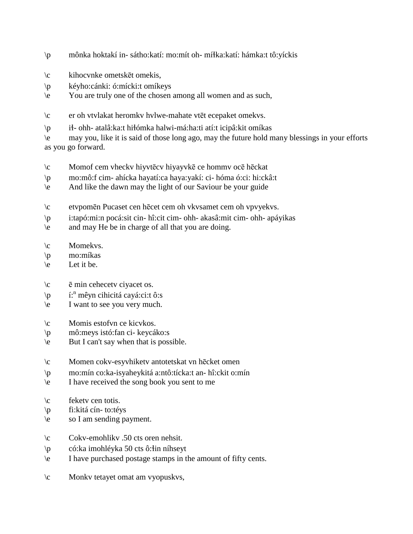- \p mônka hoktakí in- sátho:katí: mo:mít oh- mí!ka:katí: hámka:t tô:yíckis
- \c kihocvnke ometskēt omekis,
- \p kéyho:cánki: ó:mícki:t omíkeys
- \e You are truly one of the chosen among all women and as such,
- \c er oh vtvlakat heromkv hvlwe-mahate vtēt ecepaket omekvs.
- \p i!- ohh- atalâ:ka:t hi!ómka halwi-má:ha:ti atí:t icipâ:kit omíkas

\e may you, like it is said of those long ago, may the future hold many blessings in your efforts as you go forward.

- \c Momof cem vheckv hiyvtēcv hiyayvkē ce hommv ocē hēckat
- \p mo:mô:f cim- ahícka hayatí:ca haya:yakí: ci- hóma ó:ci: hi:ckâ:t
- \e And like the dawn may the light of our Saviour be your guide
- \c etvpomēn Pucaset cen hēcet cem oh vkvsamet cem oh vpvyekvs.
- \p i:tapó:mi:n pocá:sit cin- hî:cit cim- ohh- akasâ:mit cim- ohh- apáyikas
- \e and may He be in charge of all that you are doing.
- \c Momekvs.
- \p mo:míkas
- $\leq$  Let it be.
- $\c$   $\bar{e}$  min cehecetv ciyacet os.
- $\phi$  í:<sup>n</sup> mêyn cihicitá cayá:ci:t ô:s
- \e I want to see you very much.
- \c Momis estofvn ce kicvkos.
- \p mô:meys istó:fan ci- keycáko:s
- \e But I can't say when that is possible.
- \c Momen cokv-esyvhiketv antotetskat vn hēcket omen
- \p mo:mín co:ka-isyaheykitá a:ntô:tícka:t an- hî:ckit o:mín
- \e I have received the song book you sent to me
- \c feketv cen totis.
- \p fi:kitá cín- to:téys
- \e so I am sending payment.
- \c Cokv-emohlikv .50 cts oren nehsit.
- $\wp$  có:ka imohléyka 50 cts ô: lin níhseyt
- \e I have purchased postage stamps in the amount of fifty cents.
- \c Monkv tetayet omat am vyopuskvs,